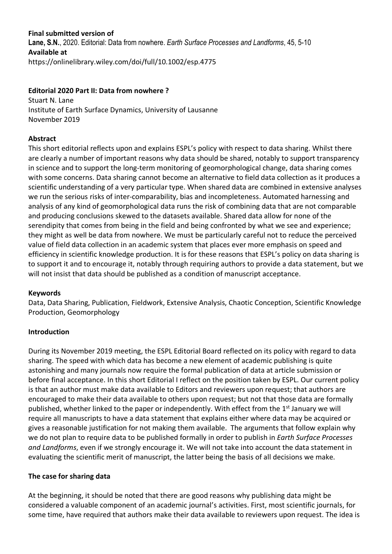# **Final submitted version of**

**Lane, S.N.**, 2020. Editorial: Data from nowhere. *Earth Surface Processes and Landforms*, 45, 5-10 **Available at**  https://onlinelibrary.wiley.com/doi/full/10.1002/esp.4775

# **Editorial 2020 Part II: Data from nowhere ?**

Stuart N. Lane Institute of Earth Surface Dynamics, University of Lausanne November 2019

# **Abstract**

This short editorial reflects upon and explains ESPL's policy with respect to data sharing. Whilst there are clearly a number of important reasons why data should be shared, notably to support transparency in science and to support the long-term monitoring of geomorphological change, data sharing comes with some concerns. Data sharing cannot become an alternative to field data collection as it produces a scientific understanding of a very particular type. When shared data are combined in extensive analyses we run the serious risks of inter-comparability, bias and incompleteness. Automated harnessing and analysis of any kind of geomorphological data runs the risk of combining data that are not comparable and producing conclusions skewed to the datasets available. Shared data allow for none of the serendipity that comes from being in the field and being confronted by what we see and experience; they might as well be data from nowhere. We must be particularly careful not to reduce the perceived value of field data collection in an academic system that places ever more emphasis on speed and efficiency in scientific knowledge production. It is for these reasons that ESPL's policy on data sharing is to support it and to encourage it, notably through requiring authors to provide a data statement, but we will not insist that data should be published as a condition of manuscript acceptance.

#### **Keywords**

Data, Data Sharing, Publication, Fieldwork, Extensive Analysis, Chaotic Conception, Scientific Knowledge Production, Geomorphology

# **Introduction**

During its November 2019 meeting, the ESPL Editorial Board reflected on its policy with regard to data sharing. The speed with which data has become a new element of academic publishing is quite astonishing and many journals now require the formal publication of data at article submission or before final acceptance. In this short Editorial I reflect on the position taken by ESPL. Our current policy is that an author must make data available to Editors and reviewers upon request; that authors are encouraged to make their data available to others upon request; but not that those data are formally published, whether linked to the paper or independently. With effect from the 1<sup>st</sup> January we will require all manuscripts to have a data statement that explains either where data may be acquired or gives a reasonable justification for not making them available. The arguments that follow explain why we do not plan to require data to be published formally in order to publish in *Earth Surface Processes and Landforms*, even if we strongly encourage it. We will not take into account the data statement in evaluating the scientific merit of manuscript, the latter being the basis of all decisions we make.

#### **The case for sharing data**

At the beginning, it should be noted that there are good reasons why publishing data might be considered a valuable component of an academic journal's activities. First, most scientific journals, for some time, have required that authors make their data available to reviewers upon request. The idea is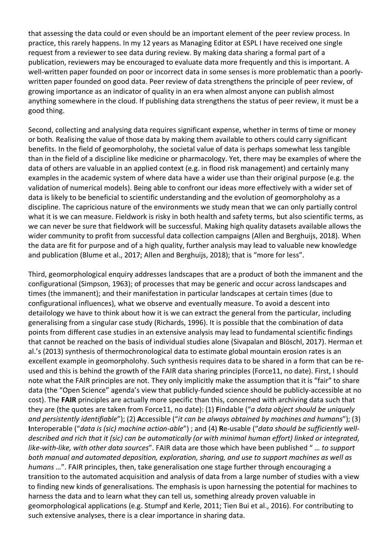that assessing the data could or even should be an important element of the peer review process. In practice, this rarely happens. In my 12 years as Managing Editor at ESPL I have received one single request from a reviewer to see data during review. By making data sharing a formal part of a publication, reviewers may be encouraged to evaluate data more frequently and this is important. A well-written paper founded on poor or incorrect data in some senses is more problematic than a poorlywritten paper founded on good data. Peer review of data strengthens the principle of peer review, of growing importance as an indicator of quality in an era when almost anyone can publish almost anything somewhere in the cloud. If publishing data strengthens the status of peer review, it must be a good thing.

Second, collecting and analysing data requires significant expense, whether in terms of time or money or both. Realising the value of those data by making them available to others could carry significant benefits. In the field of geomorpholohy, the societal value of data is perhaps somewhat less tangible than in the field of a discipline like medicine or pharmacology. Yet, there may be examples of where the data of others are valuable in an applied context (e.g. in flood risk management) and certainly many examples in the academic system of where data have a wider use than their original purpose (e.g. the validation of numerical models). Being able to confront our ideas more effectively with a wider set of data is likely to be beneficial to scientific understanding and the evolution of geomorpholohy as a discipline. The capricious nature of the environments we study mean that we can only partially control what it is we can measure. Fieldwork is risky in both health and safety terms, but also scientific terms, as we can never be sure that fieldwork will be successful. Making high quality datasets available allows the wider community to profit from successful data collection campaigns (Allen and Berghuijs, 2018). When the data are fit for purpose and of a high quality, further analysis may lead to valuable new knowledge and publication (Blume et al., 2017; Allen and Berghuijs, 2018); that is "more for less".

Third, geomorphological enquiry addresses landscapes that are a product of both the immanent and the configurational (Simpson, 1963); of processes that may be generic and occur across landscapes and times (the immanent); and their manifestation in particular landscapes at certain times (due to configurational influences), what we observe and eventually measure. To avoid a descent into detailology we have to think about how it is we can extract the general from the particular, including generalising from a singular case study (Richards, 1996). It is possible that the combination of data points from different case studies in an extensive analysis may lead to fundamental scientific findings that cannot be reached on the basis of individual studies alone (Sivapalan and Blöschl, 2017). Herman et al.'s (2013) synthesis of thermochronological data to estimate global mountain erosion rates is an excellent example in geomorpholohy. Such synthesis requires data to be shared in a form that can be reused and this is behind the growth of the FAIR data sharing principles (Force11, no date). First, I should note what the FAIR principles are not. They only implicitly make the assumption that it is "fair" to share data (the "Open Science" agenda's view that publicly-funded science should be publicly-accessible at no cost). The **FAIR** principles are actually more specific than this, concerned with archiving data such that they are (the quotes are taken from Force11, no date): (1) **F**indable ("*a data object should be uniquely and persistently identifiable*"); (2) **A**ccessible ("*it can be always obtained by machines and humans*"); (3) **I**nteroperable ("*data is (sic) machine action-able*") ; and (4) **R**e-usable ("*data should be sufficiently welldescribed and rich that it (sic) can be automatically (or with minimal human effort) linked or integrated, like-with-like, with other data sources*". FAIR data are those which have been published " … *to support both manual and automated deposition, exploration, sharing, and use to support machines as well as humans* …". FAIR principles, then, take generalisation one stage further through encouraging a transition to the automated acquisition and analysis of data from a large number of studies with a view to finding new kinds of generalisations. The emphasis is upon harnessing the potential for machines to harness the data and to learn what they can tell us, something already proven valuable in geomorphological applications (e.g. Stumpf and Kerle, 2011; Tien Bui et al., 2016). For contributing to such extensive analyses, there is a clear importance in sharing data.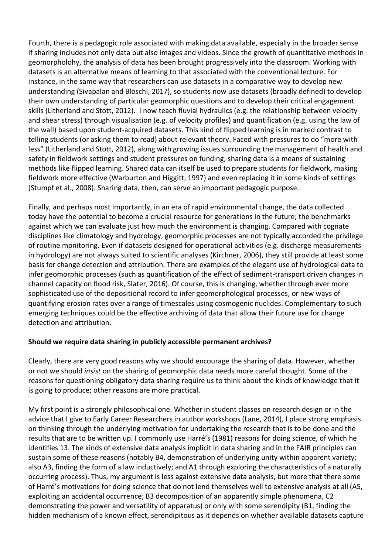Fourth, there is a pedagogic role associated with making data available, especially in the broader sense if sharing includes not only data but also images and videos. Since the growth of quantitative methods in geomorpholohy, the analysis of data has been brought progressively into the classroom. Working with datasets is an alternative means of learning to that associated with the conventional lecture. For instance, in the same way that researchers can use datasets in a comparative way to develop new understanding (Sivapalan and Blöschl, 2017), so students now use datasets (broadly defined) to develop their own understanding of particular geomorphic questions and to develop their critical engagement skills (Litherland and Stott, 2012). I now teach fluvial hydraulics (e.g. the relationship between velocity and shear stress) through visualisation (e.g. of velocity profiles) and quantification (e.g. using the law of the wall) based upon student-acquired datasets. This kind of flipped learning is in marked contrast to telling students (or asking them to read) about relevant theory. Faced with pressures to do "more with less" (Litherland and Stott, 2012), along with growing issues surrounding the management of health and safety in fieldwork settings and student pressures on funding, sharing data is a means of sustaining methods like flipped learning. Shared data can itself be used to prepare students for fieldwork, making fieldwork more effective (Warburton and Higgitt, 1997) and even replacing it in some kinds of settings (Stumpf et al., 2008). Sharing data, then, can serve an important pedagogic purpose.

Finally, and perhaps most importantly, in an era of rapid environmental change, the data collected today have the potential to become a crucial resource for generations in the future; the benchmarks against which we can evaluate just how much the environment is changing. Compared with cognate disciplines like climatology and hydrology, geomorphic processes are not typically accorded the privilege of routine monitoring. Even if datasets designed for operational activities (e.g. discharge measurements in hydrology) are not always suited to scientific analyses (Kirchner, 2006), they still provide at least some basis for change detection and attribution. There are examples of the elegant use of hydrological data to infer geomorphic processes (such as quantification of the effect of sediment-transport driven changes in channel capacity on flood risk, Slater, 2016). Of course, this is changing, whether through ever more sophisticated use of the depositional record to infer geomorphological processes, or new ways of quantifying erosion rates over a range of timescales using cosmogenic nuclides. Complementary to such emerging techniques could be the effective archiving of data that allow their future use for change detection and attribution.

# **Should we require data sharing in publicly accessible permanent archives?**

Clearly, there are very good reasons why we should encourage the sharing of data. However, whether or not we should *insist* on the sharing of geomorphic data needs more careful thought. Some of the reasons for questioning obligatory data sharing require us to think about the kinds of knowledge that it is going to produce; other reasons are more practical.

My first point is a strongly philosophical one. Whether in student classes on research design or in the advice that I give to Early Career Researchers in author workshops (Lane, 2014), I place strong emphasis on thinking through the underlying motivation for undertaking the research that is to be done and the results that are to be written up. I commonly use Harré's (1981) reasons for doing science, of which he identifies 13. The kinds of extensive data analysis implicit in data sharing and in the FAIR principles can sustain some of these reasons (notably B4, demonstration of underlying unity within apparent variety; also A3, finding the form of a law inductively; and A1 through exploring the characteristics of a naturally occurring process). Thus, my argument is less against extensive data analysis, but more that there some of Harré's motivations for doing science that do not lend themselves well to extensive analysis at all (A5, exploiting an accidental occurrence; B3 decomposition of an apparently simple phenomena, C2 demonstrating the power and versatility of apparatus) or only with some serendipity (B1, finding the hidden mechanism of a known effect, serendipitous as it depends on whether available datasets capture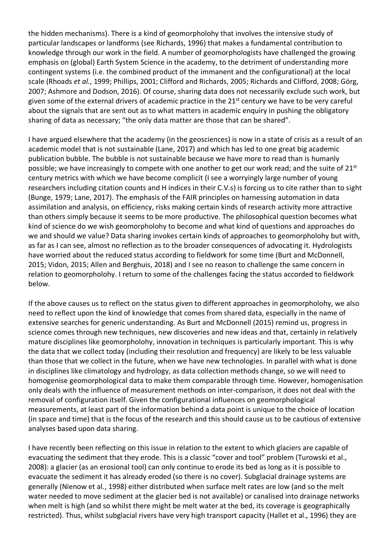the hidden mechanisms). There is a kind of geomorpholohy that involves the intensive study of particular landscapes or landforms (see Richards, 1996) that makes a fundamental contribution to knowledge through our work in the field. A number of geomorphologists have challenged the growing emphasis on (global) Earth System Science in the academy, to the detriment of understanding more contingent systems (i.e. the combined product of the immanent and the configurational) at the local scale (Rhoads *et al.*, 1999; Phillips, 2001; Clifford and Richards, 2005; Richards and Clifford, 2008; Görg, 2007; Ashmore and Dodson, 2016). Of course, sharing data does not necessarily exclude such work, but given some of the external drivers of academic practice in the  $21<sup>st</sup>$  century we have to be very careful about the signals that are sent out as to what matters in academic enquiry in pushing the obligatory sharing of data as necessary; "the only data matter are those that can be shared".

I have argued elsewhere that the academy (in the geosciences) is now in a state of crisis as a result of an academic model that is not sustainable (Lane, 2017) and which has led to one great big academic publication bubble. The bubble is not sustainable because we have more to read than is humanly possible; we have increasingly to compete with one another to get our work read; and the suite of 21<sup>st</sup> century metrics with which we have become complicit (I see a worryingly large number of young researchers including citation counts and H indices in their C.V.s) is forcing us to cite rather than to sight (Bunge, 1979; Lane, 2017). The emphasis of the FAIR principles on harnessing automation in data assimilation and analysis, on efficiency, risks making certain kinds of research activity more attractive than others simply because it seems to be more productive. The philosophical question becomes what kind of science do we wish geomorpholohy to become and what kind of questions and approaches do we and should we value? Data sharing invokes certain kinds of approaches to geomorpholohy but with, as far as I can see, almost no reflection as to the broader consequences of advocating it. Hydrologists have worried about the reduced status according to fieldwork for some time (Burt and McDonnell, 2015; Vidon, 2015; Allen and Berghuis, 2018) and I see no reason to challenge the same concern in relation to geomorpholohy. I return to some of the challenges facing the status accorded to fieldwork below.

If the above causes us to reflect on the status given to different approaches in geomorpholohy, we also need to reflect upon the kind of knowledge that comes from shared data, especially in the name of extensive searches for generic understanding. As Burt and McDonnell (2015) remind us, progress in science comes through new techniques, new discoveries and new ideas and that, certainly in relatively mature disciplines like geomorpholohy, innovation in techniques is particularly important. This is why the data that we collect today (including their resolution and frequency) are likely to be less valuable than those that we collect in the future, when we have new technologies. In parallel with what is done in disciplines like climatology and hydrology, as data collection methods change, so we will need to homogenise geomorphological data to make them comparable through time. However, homogenisation only deals with the influence of measurement methods on inter-comparison, it does not deal with the removal of configuration itself. Given the configurational influences on geomorphological measurements, at least part of the information behind a data point is unique to the choice of location (in space and time) that is the focus of the research and this should cause us to be cautious of extensive analyses based upon data sharing.

I have recently been reflecting on this issue in relation to the extent to which glaciers are capable of evacuating the sediment that they erode. This is a classic "cover and tool" problem (Turowski et al., 2008): a glacier (as an erosional tool) can only continue to erode its bed as long as it is possible to evacuate the sediment it has already eroded (so there is no cover). Subglacial drainage systems are generally (Nienow et al., 1998) either distributed when surface melt rates are low (and so the melt water needed to move sediment at the glacier bed is not available) or canalised into drainage networks when melt is high (and so whilst there might be melt water at the bed, its coverage is geographically restricted). Thus, whilst subglacial rivers have very high transport capacity (Hallet et al., 1996) they are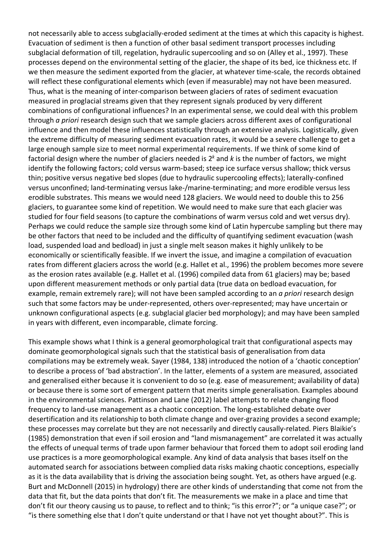not necessarily able to access subglacially-eroded sediment at the times at which this capacity is highest. Evacuation of sediment is then a function of other basal sediment transport processes including subglacial deformation of till, regelation, hydraulic supercooling and so on (Alley et al., 1997). These processes depend on the environmental setting of the glacier, the shape of its bed, ice thickness etc. If we then measure the sediment exported from the glacier, at whatever time-scale, the records obtained will reflect these configurational elements which (even if measurable) may not have been measured. Thus, what is the meaning of inter-comparison between glaciers of rates of sediment evacuation measured in proglacial streams given that they represent signals produced by very different combinations of configurational influences? In an experimental sense, we could deal with this problem through *a priori* research design such that we sample glaciers across different axes of configurational influence and then model these influences statistically through an extensive analysis. Logistically, given the extreme difficulty of measuring sediment evacuation rates, it would be a severe challenge to get a large enough sample size to meet normal experimental requirements. If we think of some kind of factorial design where the number of glaciers needed is 2*<sup>k</sup>* and *k* is the number of factors, we might identify the following factors; cold versus warm-based; steep ice surface versus shallow; thick versus thin; positive versus negative bed slopes (due to hydraulic supercooling effects); laterally-confined versus unconfined; land-terminating versus lake-/marine-terminating; and more erodible versus less erodible substrates. This means we would need 128 glaciers. We would need to double this to 256 glaciers, to guarantee some kind of repetition. We would need to make sure that each glacier was studied for four field seasons (to capture the combinations of warm versus cold and wet versus dry). Perhaps we could reduce the sample size through some kind of Latin hypercube sampling but there may be other factors that need to be included and the difficulty of quantifying sediment evacuation (wash load, suspended load and bedload) in just a single melt season makes it highly unlikely to be economically or scientifically feasible. If we invert the issue, and imagine a compilation of evacuation rates from different glaciers across the world (e.g. Hallet et al., 1996) the problem becomes more severe as the erosion rates available (e.g. Hallet et al. (1996) compiled data from 61 glaciers) may be; based upon different measurement methods or only partial data (true data on bedload evacuation, for example, remain extremely rare); will not have been sampled according to an *a priori* research design such that some factors may be under-represented, others over-represented; may have uncertain or unknown configurational aspects (e.g. subglacial glacier bed morphology); and may have been sampled in years with different, even incomparable, climate forcing.

This example shows what I think is a general geomorphological trait that configurational aspects may dominate geomorphological signals such that the statistical basis of generalisation from data compilations may be extremely weak. Sayer (1984, 138) introduced the notion of a 'chaotic conception' to describe a process of 'bad abstraction'. In the latter, elements of a system are measured, associated and generalised either because it is convenient to do so (e.g. ease of measurement; availability of data) or because there is some sort of emergent pattern that merits simple generalisation. Examples abound in the environmental sciences. Pattinson and Lane (2012) label attempts to relate changing flood frequency to land-use management as a chaotic conception. The long-established debate over desertification and its relationship to both climate change and over-grazing provides a second example; these processes may correlate but they are not necessarily and directly causally-related. Piers Blaikie's (1985) demonstration that even if soil erosion and "land mismanagement" are correlated it was actually the effects of unequal terms of trade upon farmer behaviour that forced them to adopt soil eroding land use practices is a more geomorphological example. Any kind of data analysis that bases itself on the automated search for associations between complied data risks making chaotic conceptions, especially as it is the data availability that is driving the association being sought. Yet, as others have argued (e.g. Burt and McDonnell (2015) in hydrology) there are other kinds of understanding that come not from the data that fit, but the data points that don't fit. The measurements we make in a place and time that don't fit our theory causing us to pause, to reflect and to think; "is this error?"; or "a unique case?"; or "is there something else that I don't quite understand or that I have not yet thought about?". This is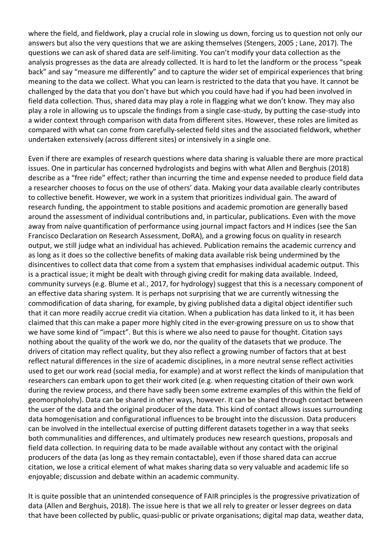where the field, and fieldwork, play a crucial role in slowing us down, forcing us to question not only our answers but also the very questions that we are asking themselves (Stengers, 2005 ; Lane, 2017). The questions we can ask of shared data are self-limiting. You can't modify your data collection as the analysis progresses as the data are already collected. It is hard to let the landform or the process "speak back" and say "measure me differently" and to capture the wider set of empirical experiences that bring meaning to the data we collect. What you can learn is restricted to the data that you have. It cannot be challenged by the data that you don't have but which you could have had if you had been involved in field data collection. Thus, shared data may play a role in flagging what we don't know. They may also play a role in allowing us to upscale the findings from a single case-study, by putting the case-study into a wider context through comparison with data from different sites. However, these roles are limited as compared with what can come from carefully-selected field sites and the associated fieldwork, whether undertaken extensively (across different sites) or intensively in a single one.

Even if there are examples of research questions where data sharing is valuable there are more practical issues. One in particular has concerned hydrologists and begins with what Allen and Berghuis (2018) describe as a "free ride" effect; rather than incurring the time and expense needed to produce field data a researcher chooses to focus on the use of others' data. Making your data available clearly contributes to collective benefit. However, we work in a system that prioritizes individual gain. The award of research funding, the appointment to stable positions and academic promotion are generally based around the assessment of individual contributions and, in particular, publications. Even with the move away from naïve quantification of performance using journal impact factors and H indices (see the San Francisco Declaration on Research Assessment, DoRA), and a growing focus on quality in research output, we still judge what an individual has achieved. Publication remains the academic currency and as long as it does so the collective benefits of making data available risk being undermined by the disincentives to collect data that come from a system that emphasises individual academic output. This is a practical issue; it might be dealt with through giving credit for making data available. Indeed, community surveys (e.g. Blume et al., 2017, for hydrology) suggest that this is a necessary component of an effective data sharing system. It is perhaps not surprising that we are currently witnessing the commodification of data sharing, for example, by giving published data a digital object identifier such that it can more readily accrue credit via citation. When a publication has data linked to it, it has been claimed that this can make a paper more highly cited in the ever-growing pressure on us to show that we have some kind of "impact". But this is where we also need to pause for thought. Citation says nothing about the quality of the work we do, nor the quality of the datasets that we produce. The drivers of citation may reflect quality, but they also reflect a growing number of factors that at best reflect natural differences in the size of academic disciplines, in a more neutral sense reflect activities used to get our work read (social media, for example) and at worst reflect the kinds of manipulation that researchers can embark upon to get their work cited (e.g. when requesting citation of their own work during the review process, and there have sadly been some extreme examples of this within the field of geomorpholohy). Data can be shared in other ways, however. It can be shared through contact between the user of the data and the original producer of the data. This kind of contact allows issues surrounding data homogenisation and configurational influences to be brought into the discussion. Data producers can be involved in the intellectual exercise of putting different datasets together in a way that seeks both communalities and differences, and ultimately produces new research questions, proposals and field data collection. In requiring data to be made available without any contact with the original producers of the data (as long as they remain contactable), even if those shared data can accrue citation, we lose a critical element of what makes sharing data so very valuable and academic life so enjoyable; discussion and debate within an academic community.

It is quite possible that an unintended consequence of FAIR principles is the progressive privatization of data (Allen and Berghuis, 2018). The issue here is that we all rely to greater or lesser degrees on data that have been collected by public, quasi-public or private organisations; digital map data, weather data,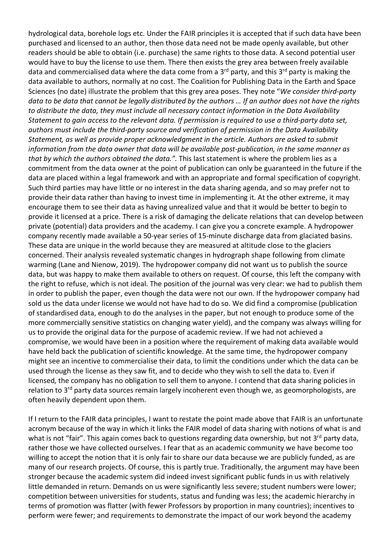hydrological data, borehole logs etc. Under the FAIR principles it is accepted that if such data have been purchased and licensed to an author, then those data need not be made openly available, but other readers should be able to obtain (i.e. purchase) the same rights to those data. A second potential user would have to buy the license to use them. There then exists the grey area between freely available data and commercialised data where the data come from a  $3<sup>rd</sup>$  party, and this  $3<sup>rd</sup>$  party is making the data available to authors, normally at no cost. The Coalition for Publishing Data in the Earth and Space Sciences (no date) illustrate the problem that this grey area poses. They note "*We consider third-party data to be data that cannot be legally distributed by the authors … If an author does not have the rights to distribute the data, they must include all necessary contact information in the Data Availability Statement to gain access to the relevant data. If permission is required to use a third-party data set, authors must include the third-party source and verification of permission in the Data Availability Statement, as well as provide proper acknowledgment in the article. Authors are asked to submit information from the data owner that data will be available post-publication, in the same manner as that by which the authors obtained the data.".* This last statement is where the problem lies as a commitment from the data owner at the point of publication can only be guaranteed in the future if the data are placed within a legal framework and with an appropriate and formal specification of copyright. Such third parties may have little or no interest in the data sharing agenda, and so may prefer not to provide their data rather than having to invest time in implementing it. At the other extreme, it may encourage them to see their data as having unrealized value and that it would be better to begin to provide it licensed at a price. There is a risk of damaging the delicate relations that can develop between private (potential) data providers and the academy. I can give you a concrete example. A hydropower company recently made available a 50-year series of 15-minute discharge data from glaciated basins. These data are unique in the world because they are measured at altitude close to the glaciers concerned. Their analysis revealed systematic changes in hydrograph shape following from climate warming (Lane and Nienow, 2019). The hydropower company did not want us to publish the source data, but was happy to make them available to others on request. Of course, this left the company with the right to refuse, which is not ideal. The position of the journal was very clear: we had to publish them in order to publish the paper, even though the data were not our own. If the hydropower company had sold us the data under license we would not have had to do so. We did find a compromise (publication of standardised data, enough to do the analyses in the paper, but not enough to produce some of the more commercially sensitive statistics on changing water yield), and the company was always willing for us to provide the original data for the purpose of academic review. If we had not achieved a compromise, we would have been in a position where the requirement of making data available would have held back the publication of scientific knowledge. At the same time, the hydropower company might see an incentive to commercialise their data, to limit the conditions under which the data can be used through the license as they saw fit, and to decide who they wish to sell the data to. Even if licensed, the company has no obligation to sell them to anyone. I contend that data sharing policies in relation to 3<sup>rd</sup> party data sources remain largely incoherent even though we, as geomorphologists, are often heavily dependent upon them.

If I return to the FAIR data principles, I want to restate the point made above that FAIR is an unfortunate acronym because of the way in which it links the FAIR model of data sharing with notions of what is and what is not "fair". This again comes back to questions regarding data ownership, but not 3<sup>rd</sup> party data, rather those we have collected ourselves. I fear that as an academic community we have become too willing to accept the notion that it is only fair to share our data because we are publicly funded, as are many of our research projects. Of course, this is partly true. Traditionally, the argument may have been stronger because the academic system did indeed invest significant public funds in us with relatively little demanded in return. Demands on us were significantly less severe; student numbers were lower; competition between universities for students, status and funding was less; the academic hierarchy in terms of promotion was flatter (with fewer Professors by proportion in many countries); incentives to perform were fewer; and requirements to demonstrate the impact of our work beyond the academy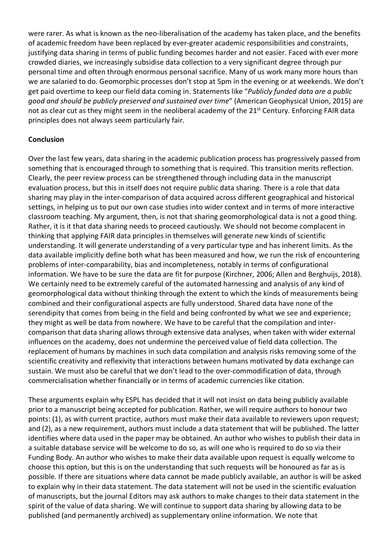were rarer. As what is known as the neo-liberalisation of the academy has taken place, and the benefits of academic freedom have been replaced by ever-greater academic responsibilities and constraints, justifying data sharing in terms of public funding becomes harder and not easier. Faced with ever more crowded diaries, we increasingly subsidise data collection to a very significant degree through pur personal time and often through enormous personal sacrifice. Many of us work many more hours than we are salaried to do. Geomorphic processes don't stop at 5pm in the evening or at weekends. We don't get paid overtime to keep our field data coming in. Statements like "*Publicly funded data are a public good and should be publicly preserved and sustained over time*" (American Geophysical Union, 2015) are not as clear cut as they might seem in the neoliberal academy of the 21<sup>st</sup> Century. Enforcing FAIR data principles does not always seem particularly fair.

# **Conclusion**

Over the last few years, data sharing in the academic publication process has progressively passed from something that is encouraged through to something that is required. This transition merits reflection. Clearly, the peer review process can be strengthened through including data in the manuscript evaluation process, but this in itself does not require public data sharing. There is a role that data sharing may play in the inter-comparison of data acquired across different geographical and historical settings, in helping us to put our own case studies into wider context and in terms of more interactive classroom teaching. My argument, then, is not that sharing geomorphological data is not a good thing. Rather, it is it that data sharing needs to proceed cautiously. We should not become complacent in thinking that applying FAIR data principles in themselves will generate new kinds of scientific understanding. It will generate understanding of a very particular type and has inherent limits. As the data available implicitly define both what has been measured and how, we run the risk of encountering problems of inter-comparability, bias and incompleteness, notably in terms of configurational information. We have to be sure the data are fit for purpose (Kirchner, 2006; Allen and Berghuijs, 2018). We certainly need to be extremely careful of the automated harnessing and analysis of any kind of geomorphological data without thinking through the extent to which the kinds of measurements being combined and their configurational aspects are fully understood. Shared data have none of the serendipity that comes from being in the field and being confronted by what we see and experience; they might as well be data from nowhere. We have to be careful that the compilation and intercomparison that data sharing allows through extensive data analyses, when taken with wider external influences on the academy, does not undermine the perceived value of field data collection. The replacement of humans by machines in such data compilation and analysis risks removing some of the scientific creativity and reflexivity that interactions between humans motivated by data exchange can sustain. We must also be careful that we don't lead to the over-commodification of data, through commercialisation whether financially or in terms of academic currencies like citation.

These arguments explain why ESPL has decided that it will not insist on data being publicly available prior to a manuscript being accepted for publication. Rather, we will require authors to honour two points: (1), as with current practice, authors must make their data available to reviewers upon request; and (2), as a new requirement, authors must include a data statement that will be published. The latter identifies where data used in the paper may be obtained. An author who wishes to publish their data in a suitable database service will be welcome to do so, as will one who is required to do so via their Funding Body. An author who wishes to make their data available upon request is equally welcome to choose this option, but this is on the understanding that such requests will be honoured as far as is possible. If there are situations where data cannot be made publicly available, an author is will be asked to explain why in their data statement. The data statement will not be used in the scientific evaluation of manuscripts, but the journal Editors may ask authors to make changes to their data statement in the spirit of the value of data sharing. We will continue to support data sharing by allowing data to be published (and permanently archived) as supplementary online information. We note that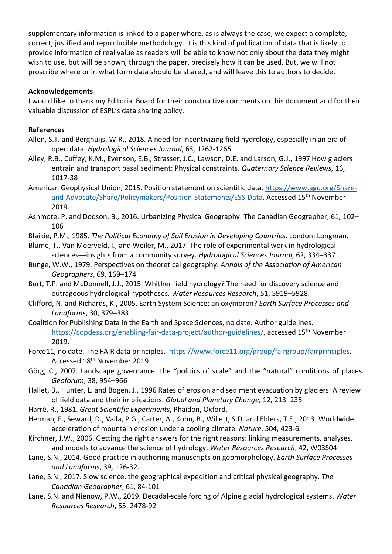supplementary information is linked to a paper where, as is always the case, we expect a complete, correct, justified and reproducible methodology. It is this kind of publication of data that is likely to provide information of real value as readers will be able to know not only about the data they might wish to use, but will be shown, through the paper, precisely how it can be used. But, we will not proscribe where or in what form data should be shared, and will leave this to authors to decide.

### **Acknowledgements**

I would like to thank my Editorial Board for their constructive comments on this document and for their valuable discussion of ESPL's data sharing policy.

# **References**

- Allen, S.T. and Berghuijs, W.R., 2018. A need for incentivizing field hydrology, especially in an era of open data. *Hydrological Sciences Journal*, 63, 1262-1265
- Alley, R.B., Cuffey, K.M., Evenson, E.B., Strasser, J.C., Lawson, D.E. and Larson, G.J., 1997 How glaciers entrain and transport basal sediment: Physical constraints. *Quaternary Science Reviews*, 16, 1017-38
- American Geophysical Union, 2015. Position statement on scientific data. https://www.agu.org/Shareand-Advocate/Share/Policymakers/Position-Statements/ESS-Data. Accessed 15th November 2019.
- Ashmore, P. and Dodson, B., 2016. Urbanizing Physical Geography. The Canadian Geographer, 61, 102– 106
- Blaikie, P.M., 1985. *The Political Economy of Soil Erosion in Developing Countries*. London: Longman.
- Blume, T., Van Meerveld, I., and Weiler, M., 2017. The role of experimental work in hydrological sciences––insights from a community survey. *Hydrological Sciences Journal*, 62, 334–337
- Bunge, W.W., 1979. Perspectives on theoretical geography. *Annals of the Association of American Geographers*, 69, 169–174
- Burt, T.P. and McDonnell, J.J., 2015. Whither field hydrology? The need for discovery science and outrageous hydrological hypotheses. *Water Resources Research*, 51, 5919–5928.
- Clifford, N. and Richards, K., 2005. Earth System Science: an oxymoron? *Earth Surface Processes and Landforms*, 30, 379–383
- Coalition for Publishing Data in the Earth and Space Sciences, no date. Author guidelines. https://copdess.org/enabling-fair-data-project/author-guidelines/, accessed 15<sup>th</sup> November 2019.
- Force11, no date. The FAIR data principles. https://www.force11.org/group/fairgroup/fairprinciples. Accessed 18th November 2019
- Görg, C., 2007. Landscape governance: the "politics of scale" and the "natural" conditions of places. *Geoforum*, 38, 954–966
- Hallet, B., Hunter, L. and Bogen, J., 1996 Rates of erosion and sediment evacuation by glaciers: A review of field data and their implications. *Global and Planetary Change*, 12, 213–235
- Harré, R., 1981. *Great Scientific Experiments*, Phaidon, Oxford.
- Herman, F., Seward, D., Valla, P.G., Carter, A., Kohn, B., Willett, S.D. and Ehlers, T.E., 2013. Worldwide acceleration of mountain erosion under a cooling climate. *Nature*, 504, 423-6.
- Kirchner, J.W., 2006. Getting the right answers for the right reasons: linking measurements, analyses, and models to advance the science of hydrology. *Water Resources Research*, 42, W03S04
- Lane, S.N., 2014. Good practice in authoring manuscripts on geomorphology. *Earth Surface Processes and Landforms*, 39, 126-32.
- Lane, S.N., 2017. Slow science, the geographical expedition and critical physical geography. *The Canadian Geographer*, 61, 84-101
- Lane, S.N. and Nienow, P.W., 2019. Decadal-scale forcing of Alpine glacial hydrological systems. *Water Resources Research*, 55, 2478-92